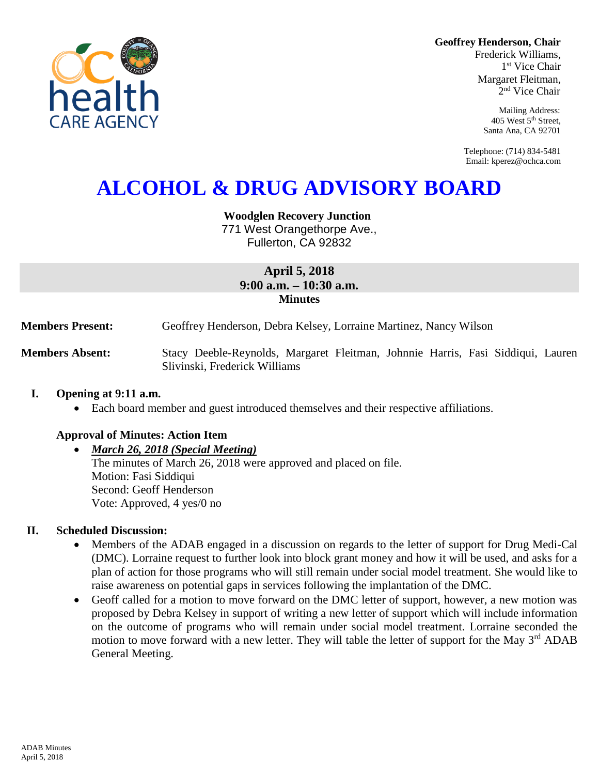

Frederick Williams, 1 st Vice Chair Margaret Fleitman, 2 nd Vice Chair

> Mailing Address: 405 West 5th Street, Santa Ana, CA 92701

Telephone: (714) 834-5481 Email: kperez@ochca.com

# **ALCOHOL & DRUG ADVISORY BOARD**

**Woodglen Recovery Junction**

771 West Orangethorpe Ave., Fullerton, CA 92832

## **April 5, 2018 9:00 a.m. – 10:30 a.m. Minutes**

**Members Present:** Geoffrey Henderson, Debra Kelsey, Lorraine Martinez, Nancy Wilson

**Members Absent:** Stacy Deeble-Reynolds, Margaret Fleitman, Johnnie Harris, Fasi Siddiqui, Lauren Slivinski, Frederick Williams

#### **I. Opening at 9:11 a.m.**

Each board member and guest introduced themselves and their respective affiliations.

#### **Approval of Minutes: Action Item**

#### *March 26, 2018 (Special Meeting)*

The minutes of March 26, 2018 were approved and placed on file. Motion: Fasi Siddiqui Second: Geoff Henderson Vote: Approved, 4 yes/0 no

#### **II. Scheduled Discussion:**

- Members of the ADAB engaged in a discussion on regards to the letter of support for Drug Medi-Cal (DMC). Lorraine request to further look into block grant money and how it will be used, and asks for a plan of action for those programs who will still remain under social model treatment. She would like to raise awareness on potential gaps in services following the implantation of the DMC.
- Geoff called for a motion to move forward on the DMC letter of support, however, a new motion was proposed by Debra Kelsey in support of writing a new letter of support which will include information on the outcome of programs who will remain under social model treatment. Lorraine seconded the motion to move forward with a new letter. They will table the letter of support for the May 3<sup>rd</sup> ADAB General Meeting.